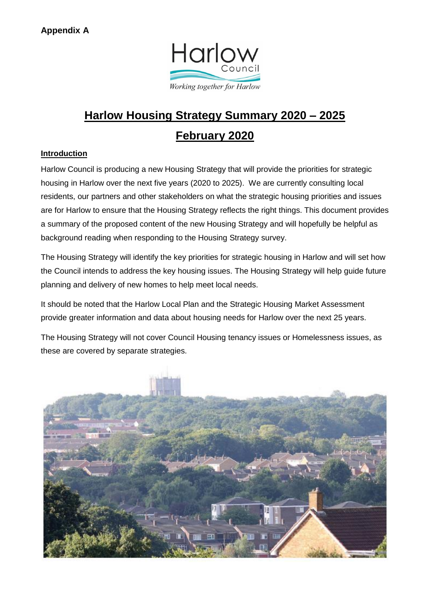

# **Harlow Housing Strategy Summary 2020 – 2025 February 2020**

# **Introduction**

Harlow Council is producing a new Housing Strategy that will provide the priorities for strategic housing in Harlow over the next five years (2020 to 2025). We are currently consulting local residents, our partners and other stakeholders on what the strategic housing priorities and issues are for Harlow to ensure that the Housing Strategy reflects the right things. This document provides a summary of the proposed content of the new Housing Strategy and will hopefully be helpful as background reading when responding to the Housing Strategy survey.

The Housing Strategy will identify the key priorities for strategic housing in Harlow and will set how the Council intends to address the key housing issues. The Housing Strategy will help guide future planning and delivery of new homes to help meet local needs.

It should be noted that the Harlow Local Plan and the Strategic Housing Market Assessment provide greater information and data about housing needs for Harlow over the next 25 years.

The Housing Strategy will not cover Council Housing tenancy issues or Homelessness issues, as these are covered by separate strategies.

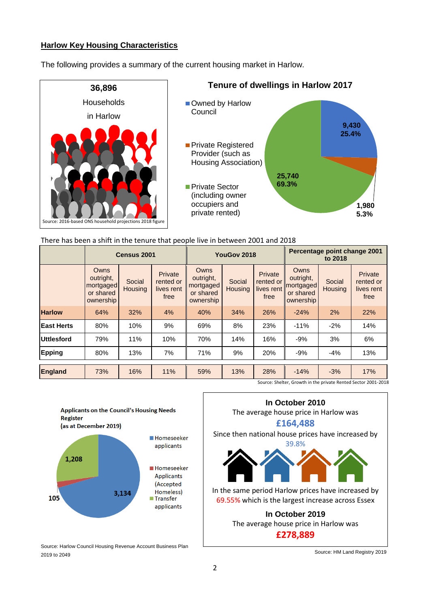### **Harlow Key Housing Characteristics**

The following provides a summary of the current housing market in Harlow.



### There has been a shift in the tenure that people live in between 2001 and 2018

|                   | Census 2001                                                     |                   |                                            | YouGov 2018                                              |                          |                                            | Percentage point change 2001<br>to 2018                  |                          |                                            |
|-------------------|-----------------------------------------------------------------|-------------------|--------------------------------------------|----------------------------------------------------------|--------------------------|--------------------------------------------|----------------------------------------------------------|--------------------------|--------------------------------------------|
|                   | <b>Owns</b><br>outright,<br>mortgaged<br>or shared<br>ownership | Social<br>Housing | Private<br>rented or<br>lives rent<br>free | Owns<br>outright,<br>mortgaged<br>or shared<br>ownership | Social<br><b>Housing</b> | Private<br>rented or<br>lives rent<br>free | Owns<br>outright,<br>mortgaged<br>or shared<br>ownership | Social<br><b>Housing</b> | Private<br>rented or<br>lives rent<br>free |
| <b>Harlow</b>     | 64%                                                             | 32%               | 4%                                         | 40%                                                      | 34%                      | 26%                                        | $-24%$                                                   | 2%                       | 22%                                        |
| <b>East Herts</b> | 80%                                                             | 10%               | 9%                                         | 69%                                                      | 8%                       | 23%                                        | $-11%$                                                   | $-2%$                    | 14%                                        |
| Uttlesford        | 79%                                                             | 11%               | 10%                                        | 70%                                                      | 14%                      | 16%                                        | $-9%$                                                    | 3%                       | 6%                                         |
| Epping            | 80%                                                             | 13%               | 7%                                         | 71%                                                      | 9%                       | 20%                                        | $-9%$                                                    | $-4%$                    | 13%                                        |
| <b>England</b>    | 73%                                                             | 16%               | 11%                                        | 59%                                                      | 13%                      | 28%                                        | $-14%$                                                   | $-3%$                    | 17%                                        |

Source: Shelter, Growth in the private Rented Sector 2001-2018



Source: Harlow Council Housing Revenue Account Business Plan 2019 to 2049



Source: HM Land Registry 2019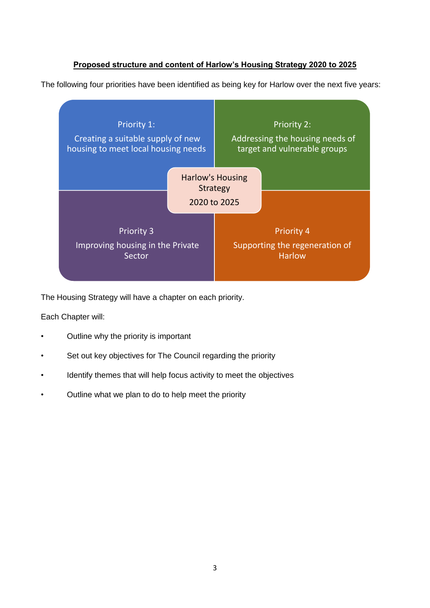# **Proposed structure and content of Harlow's Housing Strategy 2020 to 2025**

The following four priorities have been identified as being key for Harlow over the next five years:



The Housing Strategy will have a chapter on each priority.

Each Chapter will:

- Outline why the priority is important
- Set out key objectives for The Council regarding the priority
- Identify themes that will help focus activity to meet the objectives
- Outline what we plan to do to help meet the priority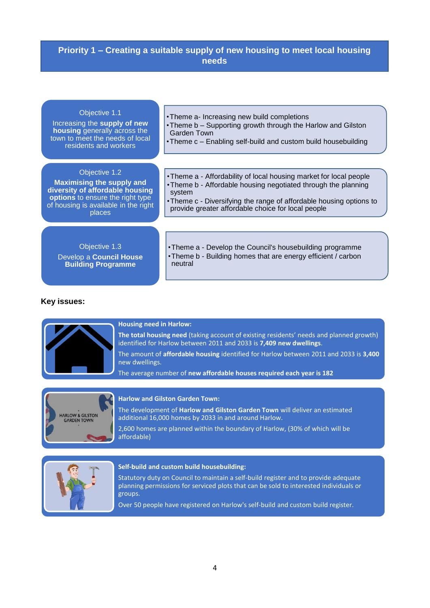# **Priority 1 – Creating a suitable supply of new housing to meet local housing needs**

#### Objective 1.1

Increasing the **supply of new housing** generally across the town to meet the needs of local residents and workers

- •Theme a- Increasing new build completions
- •Theme b Supporting growth through the Harlow and Gilston Garden Town
- •Theme c Enabling self-build and custom build housebuilding

#### Objective 1.2

**Maximising the supply and diversity of affordable housing options** to ensure the right type of housing is available in the right places

- •Theme a Affordability of local housing market for local people •Theme b - Affordable housing negotiated through the planning system
- •Theme c Diversifying the range of affordable housing options to provide greater affordable choice for local people

Objective 1.3 Develop a **Council House Building Programme** 

•Theme a - Develop the Council's housebuilding programme •Theme b - Building homes that are energy efficient / carbon neutral

#### **Key issues:**



#### **Housing need in Harlow:**

**The total housing need** (taking account of existing residents' needs and planned growth) identified for Harlow between 2011 and 2033 is **7,409 new dwellings**. The amount of **affordable housing** identified for Harlow between 2011 and 2033 is **3,400**

new dwellings.

The average number of **new affordable houses required each year is 182**



#### **Harlow and Gilston Garden Town:**

The development of **Harlow and Gilston Garden Town** will deliver an estimated additional 16,000 homes by 2033 in and around Harlow.

2,600 homes are planned within the boundary of Harlow, (30% of which will be affordable)



#### **Self-build and custom build housebuilding:**

Statutory duty on Council to maintain a self-build register and to provide adequate planning permissions for serviced plots that can be sold to interested individuals or groups.

Over 50 people have registered on Harlow's self-build and custom build register.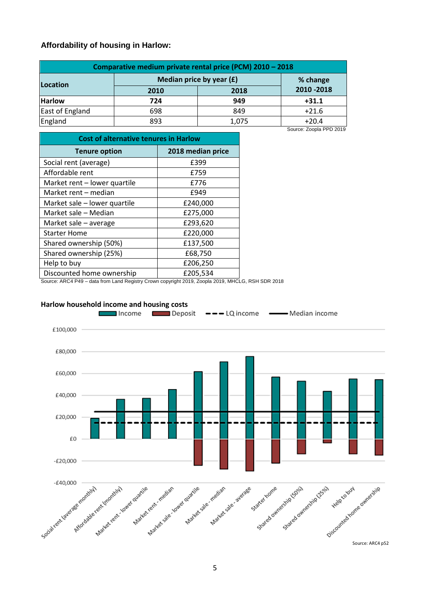### **Affordability of housing in Harlow:**

| Comparative medium private rental price (PCM) 2010 - 2018 |                            |          |             |  |
|-----------------------------------------------------------|----------------------------|----------|-------------|--|
| <b>Location</b>                                           | Median price by year $(f)$ | % change |             |  |
|                                                           | 2010                       | 2018     | 2010 - 2018 |  |
| <b>Harlow</b>                                             | 724                        | 949      | $+31.1$     |  |
| East of England                                           | 698                        | 849      | $+21.6$     |  |
| England                                                   | 893                        | 1,075    | $+20.4$     |  |

| <b>Cost of alternative tenures in Harlow</b> |                   |  |
|----------------------------------------------|-------------------|--|
| <b>Tenure option</b>                         | 2018 median price |  |
| Social rent (average)                        | £399              |  |
| Affordable rent                              | £759              |  |
| Market rent – lower quartile                 | £776              |  |
| Market rent – median                         | £949              |  |
| Market sale - lower quartile                 | £240,000          |  |
| Market sale - Median                         | £275,000          |  |
| Market sale - average                        | £293,620          |  |
| <b>Starter Home</b>                          | £220,000          |  |
| Shared ownership (50%)                       | £137,500          |  |
| Shared ownership (25%)                       | £68,750           |  |
| Help to buy                                  | £206,250          |  |
| Discounted home ownership                    | £205,534          |  |

Source: Zoopla PPD 2019

Source: ARC4 P49 – data from Land Registry Crown copyright 2019, Zoopla 2019, MHCLG, RSH SDR 2018

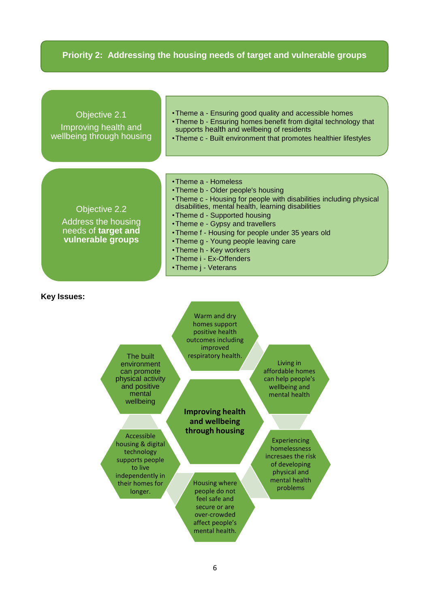# **Priority 2: Addressing the housing needs of target and vulnerable groups**

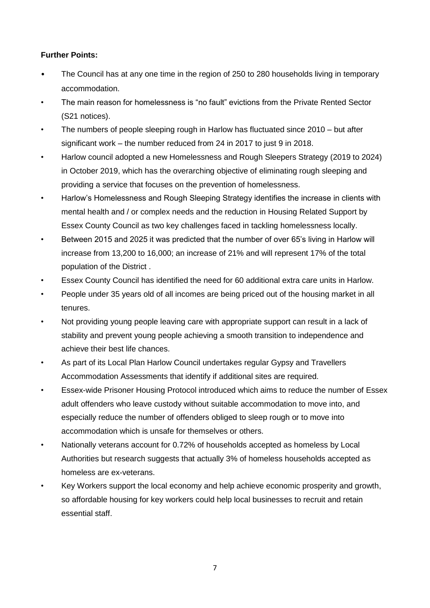# **Further Points:**

- The Council has at any one time in the region of 250 to 280 households living in temporary accommodation.
- The main reason for homelessness is "no fault" evictions from the Private Rented Sector (S21 notices).
- The numbers of people sleeping rough in Harlow has fluctuated since 2010 but after significant work – the number reduced from 24 in 2017 to just 9 in 2018.
- Harlow council adopted a new Homelessness and Rough Sleepers Strategy (2019 to 2024) in October 2019, which has the overarching objective of eliminating rough sleeping and providing a service that focuses on the prevention of homelessness.
- Harlow's Homelessness and Rough Sleeping Strategy identifies the increase in clients with mental health and / or complex needs and the reduction in Housing Related Support by Essex County Council as two key challenges faced in tackling homelessness locally.
- Between 2015 and 2025 it was predicted that the number of over 65's living in Harlow will increase from 13,200 to 16,000; an increase of 21% and will represent 17% of the total population of the District .
- Essex County Council has identified the need for 60 additional extra care units in Harlow.
- People under 35 years old of all incomes are being priced out of the housing market in all tenures.
- Not providing young people leaving care with appropriate support can result in a lack of stability and prevent young people achieving a smooth transition to independence and achieve their best life chances.
- As part of its Local Plan Harlow Council undertakes regular Gypsy and Travellers Accommodation Assessments that identify if additional sites are required.
- Essex-wide Prisoner Housing Protocol introduced which aims to reduce the number of Essex adult offenders who leave custody without suitable accommodation to move into, and especially reduce the number of offenders obliged to sleep rough or to move into accommodation which is unsafe for themselves or others.
- Nationally veterans account for 0.72% of households accepted as homeless by Local Authorities but research suggests that actually 3% of homeless households accepted as homeless are ex-veterans.
- Key Workers support the local economy and help achieve economic prosperity and growth, so affordable housing for key workers could help local businesses to recruit and retain essential staff.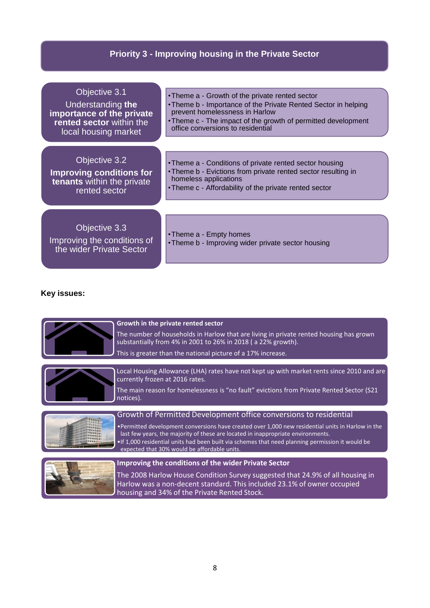# **Priority 3 - Improving housing in the Private Sector**

| Objective 3.1                                                            | • Theme a - Growth of the private rented sector                               |
|--------------------------------------------------------------------------|-------------------------------------------------------------------------------|
| Understanding the                                                        | •Theme b - Importance of the Private Rented Sector in helping                 |
| importance of the private                                                | prevent homelessness in Harlow                                                |
| rented sector within the                                                 | • Theme c - The impact of the growth of permitted development                 |
| local housing market                                                     | office conversions to residential                                             |
| Objective 3.2                                                            | • Theme a - Conditions of private rented sector housing                       |
| <b>Improving conditions for</b>                                          | • Theme b - Evictions from private rented sector resulting in                 |
| tenants within the private                                               | homeless applications                                                         |
| rented sector                                                            | • Theme c - Affordability of the private rented sector                        |
| Objective 3.3<br>Improving the conditions of<br>the wider Private Sector | • Theme a - Empty homes<br>• Theme b - Improving wider private sector housing |

# **Key issues:**

|           | Growth in the private rented sector<br>The number of households in Harlow that are living in private rented housing has grown<br>substantially from 4% in 2001 to 26% in 2018 (a 22% growth).<br>This is greater than the national picture of a 17% increase.                                                                                                                                                   |
|-----------|-----------------------------------------------------------------------------------------------------------------------------------------------------------------------------------------------------------------------------------------------------------------------------------------------------------------------------------------------------------------------------------------------------------------|
| notices). | Local Housing Allowance (LHA) rates have not kept up with market rents since 2010 and are<br>currently frozen at 2016 rates.<br>The main reason for homelessness is "no fault" evictions from Private Rented Sector (S21                                                                                                                                                                                        |
|           | Growth of Permitted Development office conversions to residential<br>•Permitted development conversions have created over 1,000 new residential units in Harlow in the<br>last few years, the majority of these are located in inappropriate environments.<br>. If 1,000 residential units had been built via schemes that need planning permission it would be<br>expected that 30% would be affordable units. |
|           | <b>Improving the conditions of the wider Private Sector</b><br>The 2008 Harlow House Condition Survey suggested that 24.9% of all housing in<br>Harlow was a non-decent standard. This included 23.1% of owner occupied<br>housing and 34% of the Private Rented Stock.                                                                                                                                         |